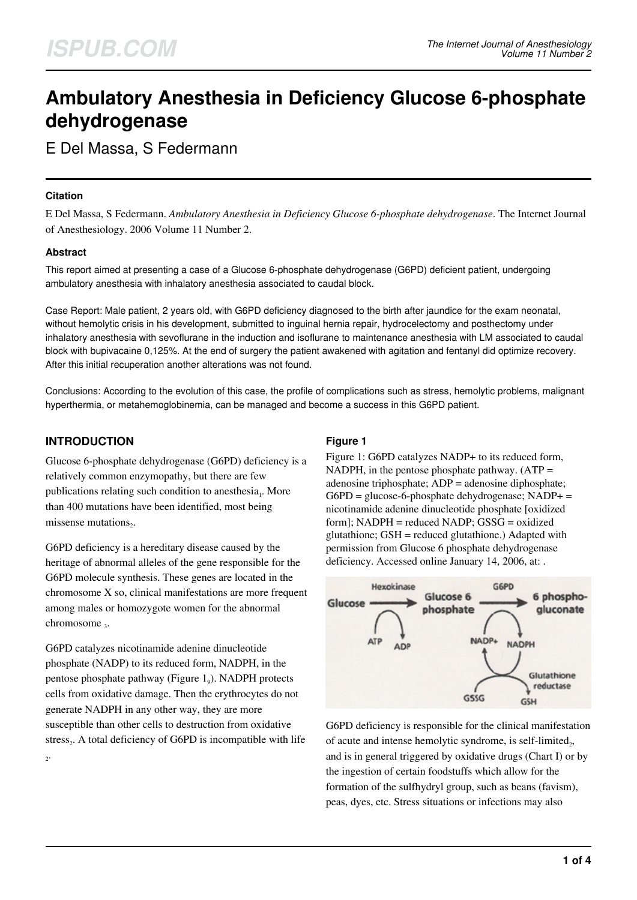# **Ambulatory Anesthesia in Deficiency Glucose 6-phosphate dehydrogenase**

E Del Massa, S Federmann

#### **Citation**

E Del Massa, S Federmann. *Ambulatory Anesthesia in Deficiency Glucose 6-phosphate dehydrogenase*. The Internet Journal of Anesthesiology. 2006 Volume 11 Number 2.

### **Abstract**

This report aimed at presenting a case of a Glucose 6-phosphate dehydrogenase (G6PD) deficient patient, undergoing ambulatory anesthesia with inhalatory anesthesia associated to caudal block.

Case Report: Male patient, 2 years old, with G6PD deficiency diagnosed to the birth after jaundice for the exam neonatal, without hemolytic crisis in his development, submitted to inguinal hernia repair, hydrocelectomy and posthectomy under inhalatory anesthesia with sevoflurane in the induction and isoflurane to maintenance anesthesia with LM associated to caudal block with bupivacaine 0,125%. At the end of surgery the patient awakened with agitation and fentanyl did optimize recovery. After this initial recuperation another alterations was not found.

Conclusions: According to the evolution of this case, the profile of complications such as stress, hemolytic problems, malignant hyperthermia, or metahemoglobinemia, can be managed and become a success in this G6PD patient.

## **INTRODUCTION**

2 .

Glucose 6-phosphate dehydrogenase (G6PD) deficiency is a relatively common enzymopathy, but there are few publications relating such condition to anesthesia<sub>1</sub>. More than 400 mutations have been identified, most being missense mutations<sub>2</sub>.

G6PD deficiency is a hereditary disease caused by the heritage of abnormal alleles of the gene responsible for the G6PD molecule synthesis. These genes are located in the chromosome X so, clinical manifestations are more frequent among males or homozygote women for the abnormal chromosome<sub>3</sub>.

G6PD catalyzes nicotinamide adenine dinucleotide phosphate (NADP) to its reduced form, NADPH, in the pentose phosphate pathway (Figure 1<sub>9</sub>). NADPH protects cells from oxidative damage. Then the erythrocytes do not generate NADPH in any other way, they are more susceptible than other cells to destruction from oxidative stress $_2$ . A total deficiency of G6PD is incompatible with life

## **Figure 1**

Figure 1: G6PD catalyzes NADP+ to its reduced form, NADPH, in the pentose phosphate pathway.  $(ATP =$ adenosine triphosphate; ADP = adenosine diphosphate; G6PD = glucose-6-phosphate dehydrogenase; NADP+ = nicotinamide adenine dinucleotide phosphate [oxidized form]; NADPH = reduced NADP; GSSG = oxidized glutathione; GSH = reduced glutathione.) Adapted with permission from Glucose 6 phosphate dehydrogenase deficiency. Accessed online January 14, 2006, at: .



G6PD deficiency is responsible for the clinical manifestation of acute and intense hemolytic syndrome, is self-limited<sub>2</sub>, and is in general triggered by oxidative drugs (Chart I) or by the ingestion of certain foodstuffs which allow for the formation of the sulfhydryl group, such as beans (favism), peas, dyes, etc. Stress situations or infections may also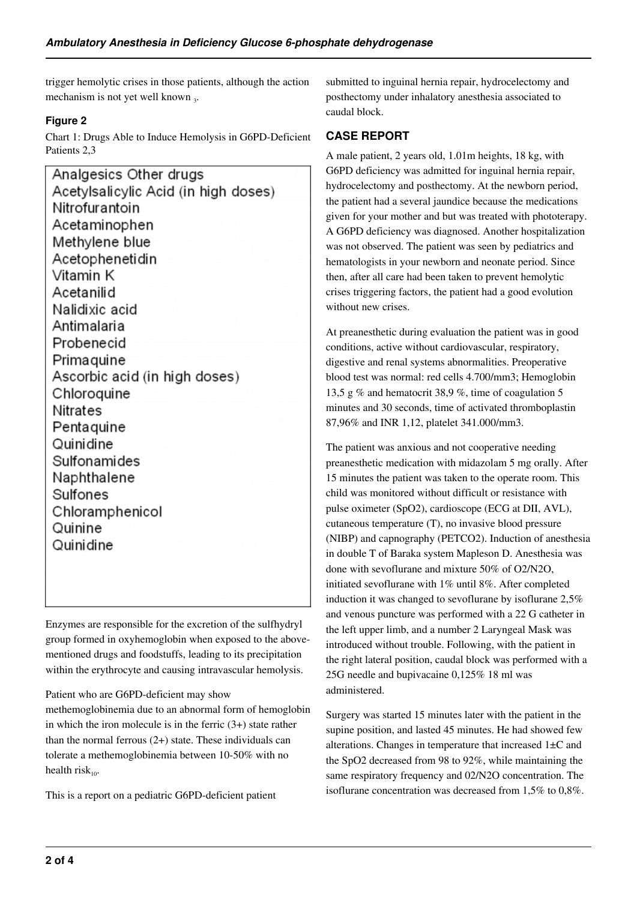trigger hemolytic crises in those patients, although the action mechanism is not yet well known 3.

## **Figure 2**

Chart 1: Drugs Able to Induce Hemolysis in G6PD-Deficient Patients 2,3

Analgesics Other drugs Acetylsalicylic Acid (in high doses) Nitrofurantoin Acetaminophen Methylene blue Acetophenetidin Vitamin K Acetanilid Nalidixic acid Antimalaria Probenecid Primaguine Ascorbic acid (in high doses) Chloroquine **Nitrates** Pentaquine Quinidine Sulfonamides Naphthalene Sulfones Chloramphenicol Quinine Quinidine

Enzymes are responsible for the excretion of the sulfhydryl group formed in oxyhemoglobin when exposed to the abovementioned drugs and foodstuffs, leading to its precipitation within the erythrocyte and causing intravascular hemolysis.

Patient who are G6PD-deficient may show

methemoglobinemia due to an abnormal form of hemoglobin in which the iron molecule is in the ferric  $(3+)$  state rather than the normal ferrous  $(2+)$  state. These individuals can tolerate a methemoglobinemia between 10-50% with no health risk $_{10}$ .

This is a report on a pediatric G6PD-deficient patient

submitted to inguinal hernia repair, hydrocelectomy and posthectomy under inhalatory anesthesia associated to caudal block.

## **CASE REPORT**

A male patient, 2 years old, 1.01m heights, 18 kg, with G6PD deficiency was admitted for inguinal hernia repair, hydrocelectomy and posthectomy. At the newborn period, the patient had a several jaundice because the medications given for your mother and but was treated with phototerapy. A G6PD deficiency was diagnosed. Another hospitalization was not observed. The patient was seen by pediatrics and hematologists in your newborn and neonate period. Since then, after all care had been taken to prevent hemolytic crises triggering factors, the patient had a good evolution without new crises.

At preanesthetic during evaluation the patient was in good conditions, active without cardiovascular, respiratory, digestive and renal systems abnormalities. Preoperative blood test was normal: red cells 4.700/mm3; Hemoglobin 13,5 g % and hematocrit 38,9 %, time of coagulation 5 minutes and 30 seconds, time of activated thromboplastin 87,96% and INR 1,12, platelet 341.000/mm3.

The patient was anxious and not cooperative needing preanesthetic medication with midazolam 5 mg orally. After 15 minutes the patient was taken to the operate room. This child was monitored without difficult or resistance with pulse oximeter (SpO2), cardioscope (ECG at DII, AVL), cutaneous temperature (T), no invasive blood pressure (NIBP) and capnography (PETCO2). Induction of anesthesia in double T of Baraka system Mapleson D. Anesthesia was done with sevoflurane and mixture 50% of O2/N2O, initiated sevoflurane with 1% until 8%. After completed induction it was changed to sevoflurane by isoflurane 2,5% and venous puncture was performed with a 22 G catheter in the left upper limb, and a number 2 Laryngeal Mask was introduced without trouble. Following, with the patient in the right lateral position, caudal block was performed with a 25G needle and bupivacaine 0,125% 18 ml was administered.

Surgery was started 15 minutes later with the patient in the supine position, and lasted 45 minutes. He had showed few alterations. Changes in temperature that increased 1±C and the SpO2 decreased from 98 to 92%, while maintaining the same respiratory frequency and 02/N2O concentration. The isoflurane concentration was decreased from 1,5% to 0,8%.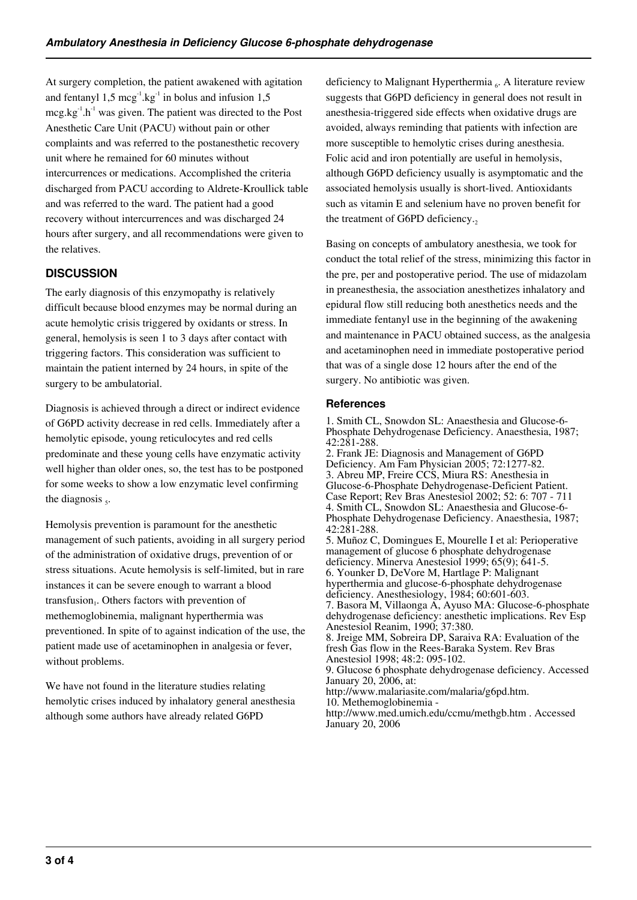At surgery completion, the patient awakened with agitation and fentanyl  $1.5 \text{~mag}^{-1}$ .kg<sup>-1</sup> in bolus and infusion  $1.5$  $mcg.kg^{-1}.h^{-1}$  was given. The patient was directed to the Post Anesthetic Care Unit (PACU) without pain or other complaints and was referred to the postanesthetic recovery unit where he remained for 60 minutes without intercurrences or medications. Accomplished the criteria discharged from PACU according to Aldrete-Kroullick table and was referred to the ward. The patient had a good recovery without intercurrences and was discharged 24 hours after surgery, and all recommendations were given to the relatives.

# **DISCUSSION**

The early diagnosis of this enzymopathy is relatively difficult because blood enzymes may be normal during an acute hemolytic crisis triggered by oxidants or stress. In general, hemolysis is seen 1 to 3 days after contact with triggering factors. This consideration was sufficient to maintain the patient interned by 24 hours, in spite of the surgery to be ambulatorial.

Diagnosis is achieved through a direct or indirect evidence of G6PD activity decrease in red cells. Immediately after a hemolytic episode, young reticulocytes and red cells predominate and these young cells have enzymatic activity well higher than older ones, so, the test has to be postponed for some weeks to show a low enzymatic level confirming the diagnosis  $<sub>5</sub>$ .</sub>

Hemolysis prevention is paramount for the anesthetic management of such patients, avoiding in all surgery period of the administration of oxidative drugs, prevention of or stress situations. Acute hemolysis is self-limited, but in rare instances it can be severe enough to warrant a blood transfusion<sub>1</sub>. Others factors with prevention of methemoglobinemia, malignant hyperthermia was preventioned. In spite of to against indication of the use, the patient made use of acetaminophen in analgesia or fever, without problems.

We have not found in the literature studies relating hemolytic crises induced by inhalatory general anesthesia although some authors have already related G6PD

deficiency to Malignant Hyperthermia  $_6$ . A literature review suggests that G6PD deficiency in general does not result in anesthesia-triggered side effects when oxidative drugs are avoided, always reminding that patients with infection are more susceptible to hemolytic crises during anesthesia. Folic acid and iron potentially are useful in hemolysis, although G6PD deficiency usually is asymptomatic and the associated hemolysis usually is short-lived. Antioxidants such as vitamin E and selenium have no proven benefit for the treatment of G6PD deficiency.

Basing on concepts of ambulatory anesthesia, we took for conduct the total relief of the stress, minimizing this factor in the pre, per and postoperative period. The use of midazolam in preanesthesia, the association anesthetizes inhalatory and epidural flow still reducing both anesthetics needs and the immediate fentanyl use in the beginning of the awakening and maintenance in PACU obtained success, as the analgesia and acetaminophen need in immediate postoperative period that was of a single dose 12 hours after the end of the surgery. No antibiotic was given.

### **References**

1. Smith CL, Snowdon SL: Anaesthesia and Glucose-6- Phosphate Dehydrogenase Deficiency. Anaesthesia, 1987; 42:281-288.

2. Frank JE: Diagnosis and Management of G6PD Deficiency. Am Fam Physician 2005; 72:1277-82. 3. Abreu MP, Freire CCS, Miura RS: Anesthesia in Glucose-6-Phosphate Dehydrogenase-Deficient Patient. Case Report; Rev Bras Anestesiol 2002; 52: 6: 707 - 711 4. Smith CL, Snowdon SL: Anaesthesia and Glucose-6- Phosphate Dehydrogenase Deficiency. Anaesthesia, 1987; 42:281-288. 5. Muñoz C, Domingues E, Mourelle I et al: Perioperative management of glucose 6 phosphate dehydrogenase deficiency. Minerva Anestesiol 1999; 65(9); 641-5. 6. Younker D, DeVore M, Hartlage P: Malignant hyperthermia and glucose-6-phosphate dehydrogenase deficiency. Anesthesiology, 1984; 60:601-603. 7. Basora M, Villaonga A, Ayuso MA: Glucose-6-phosphate dehydrogenase deficiency: anesthetic implications. Rev Esp Anestesiol Reanim, 1990; 37:380. 8. Jreige MM, Sobreira DP, Saraiva RA: Evaluation of the fresh Gas flow in the Rees-Baraka System. Rev Bras Anestesiol 1998; 48:2: 095-102. 9. Glucose 6 phosphate dehydrogenase deficiency. Accessed January 20, 2006, at: http://www.malariasite.com/malaria/g6pd.htm. 10. Methemoglobinemia -

http://www.med.umich.edu/ccmu/methgb.htm . Accessed January 20, 2006